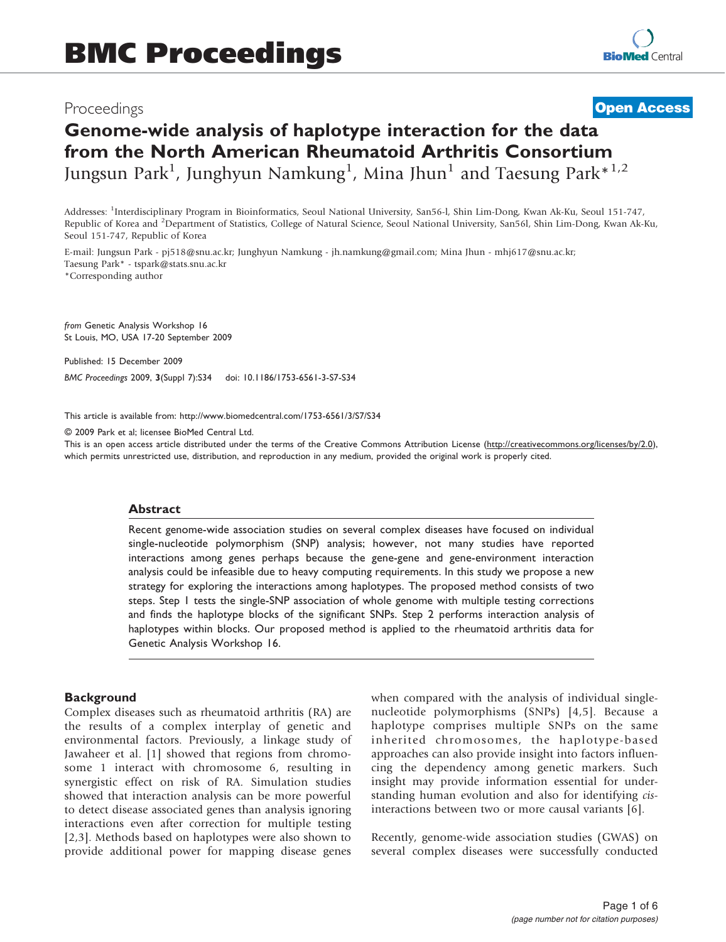# Proceedings

**[Open Access](http://www.biomedcentral.com/info/about/charter/)**

# Genome-wide analysis of haplotype interaction for the data from the North American Rheumatoid Arthritis Consortium Jungsun Park<sup>1</sup>, Junghyun Namkung<sup>1</sup>, Mina Jhun<sup>1</sup> and Taesung Park $^{\ast\,1,2}$

Addresses: <sup>1</sup> Interdisciplinary Program in Bioinformatics, Seoul National University, San56-l, Shin Lim-Dong, Kwan Ak-Ku, Seoul 151-747, Republic of Korea and <sup>2</sup>Department of Statistics, College of Natural Science, Seoul National University, San56l, Shin Lim-Dong, Kwan Ak-Ku, Seoul 151-747, Republic of Korea

E-mail: Jungsun Park - [pj518@snu.ac.kr](mailto:pj518@snu.ac.kr); Junghyun Namkung - [jh.namkung@gmail.com;](mailto:jh.namkung@gmail.com) Mina Jhun - [mhj617@snu.ac.kr](mailto:mhj617@snu.ac.kr); Taesung Park\* - [tspark@stats.snu.ac.kr](mailto:tspark@stats.snu.ac.kr) \*Corresponding author

from Genetic Analysis Workshop 16 St Louis, MO, USA 17-20 September 2009

Published: 15 December 2009

BMC Proceedings 2009, 3(Suppl 7):S34 doi: 10.1186/1753-6561-3-S7-S34

This article is available from: http://www.biomedcentral.com/1753-6561/3/S7/S34

© 2009 Park et al; licensee BioMed Central Ltd.

This is an open access article distributed under the terms of the Creative Commons Attribution License [\(http://creativecommons.org/licenses/by/2.0\)](http://creativecommons.org/licenses/by/2.0), which permits unrestricted use, distribution, and reproduction in any medium, provided the original work is properly cited.

### Abstract

Recent genome-wide association studies on several complex diseases have focused on individual single-nucleotide polymorphism (SNP) analysis; however, not many studies have reported interactions among genes perhaps because the gene-gene and gene-environment interaction analysis could be infeasible due to heavy computing requirements. In this study we propose a new strategy for exploring the interactions among haplotypes. The proposed method consists of two steps. Step 1 tests the single-SNP association of whole genome with multiple testing corrections and finds the haplotype blocks of the significant SNPs. Step 2 performs interaction analysis of haplotypes within blocks. Our proposed method is applied to the rheumatoid arthritis data for Genetic Analysis Workshop 16.

### **Background**

Complex diseases such as rheumatoid arthritis (RA) are the results of a complex interplay of genetic and environmental factors. Previously, a linkage study of Jawaheer et al. [[1](#page-4-0)] showed that regions from chromosome 1 interact with chromosome 6, resulting in synergistic effect on risk of RA. Simulation studies showed that interaction analysis can be more powerful to detect disease associated genes than analysis ignoring interactions even after correction for multiple testing [[2](#page-4-0),[3](#page-4-0)]. Methods based on haplotypes were also shown to provide additional power for mapping disease genes

when compared with the analysis of individual singlenucleotide polymorphisms (SNPs) [\[4,5](#page-4-0)]. Because a haplotype comprises multiple SNPs on the same inherited chromosomes, the haplotype-based approaches can also provide insight into factors influencing the dependency among genetic markers. Such insight may provide information essential for understanding human evolution and also for identifying cisinteractions between two or more causal variants [[6](#page-4-0)].

Recently, genome-wide association studies (GWAS) on several complex diseases were successfully conducted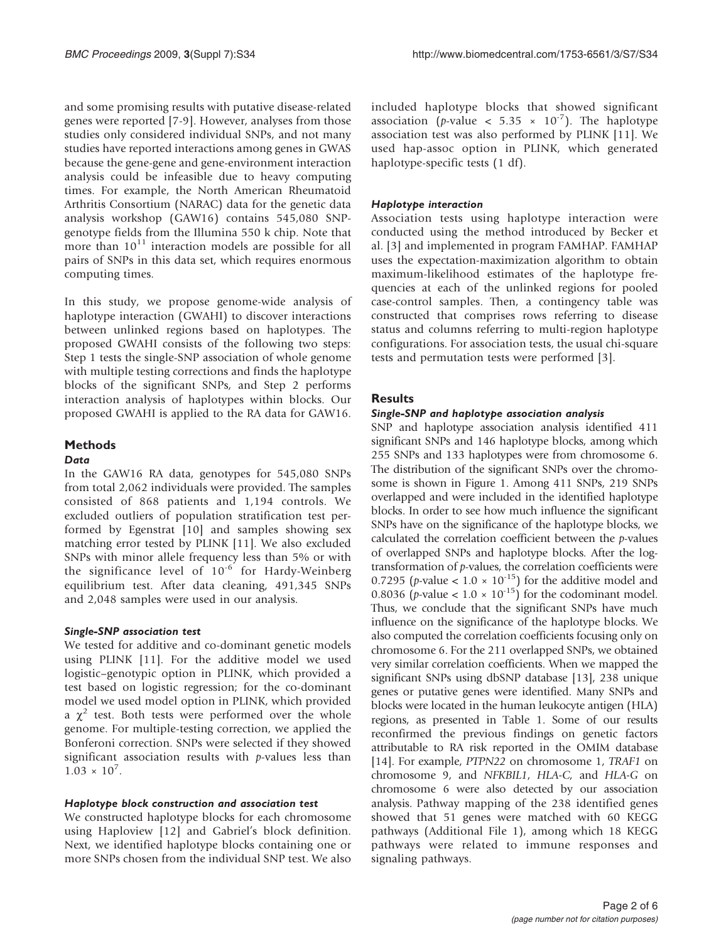and some promising results with putative disease-related genes were reported [[7](#page-4-0)-[9](#page-5-0)]. However, analyses from those studies only considered individual SNPs, and not many studies have reported interactions among genes in GWAS because the gene-gene and gene-environment interaction analysis could be infeasible due to heavy computing times. For example, the North American Rheumatoid Arthritis Consortium (NARAC) data for the genetic data analysis workshop (GAW16) contains 545,080 SNPgenotype fields from the Illumina 550 k chip. Note that more than  $10^{11}$  interaction models are possible for all pairs of SNPs in this data set, which requires enormous computing times.

In this study, we propose genome-wide analysis of haplotype interaction (GWAHI) to discover interactions between unlinked regions based on haplotypes. The proposed GWAHI consists of the following two steps: Step 1 tests the single-SNP association of whole genome with multiple testing corrections and finds the haplotype blocks of the significant SNPs, and Step 2 performs interaction analysis of haplotypes within blocks. Our proposed GWAHI is applied to the RA data for GAW16.

# Methods

### **Data**

In the GAW16 RA data, genotypes for 545,080 SNPs from total 2,062 individuals were provided. The samples consisted of 868 patients and 1,194 controls. We excluded outliers of population stratification test performed by Egenstrat [[10\]](#page-5-0) and samples showing sex matching error tested by PLINK [[11](#page-5-0)]. We also excluded SNPs with minor allele frequency less than 5% or with the significance level of  $10^{-6}$  for Hardy-Weinberg equilibrium test. After data cleaning, 491,345 SNPs and 2,048 samples were used in our analysis.

# Single-SNP association test

We tested for additive and co-dominant genetic models using PLINK [[11](#page-5-0)]. For the additive model we used logistic–genotypic option in PLINK, which provided a test based on logistic regression; for the co-dominant model we used model option in PLINK, which provided a  $\chi^2$  test. Both tests were performed over the whole genome. For multiple-testing correction, we applied the Bonferoni correction. SNPs were selected if they showed significant association results with  $p$ -values less than  $1.03 \times 10^{7}$ .

# Haplotype block construction and association test

We constructed haplotype blocks for each chromosome using Haploview [\[12](#page-5-0)] and Gabriel's block definition. Next, we identified haplotype blocks containing one or more SNPs chosen from the individual SNP test. We also included haplotype blocks that showed significant association (*p*-value < 5.35  $\times$  10<sup>-7</sup>). The haplotype association test was also performed by PLINK [\[11](#page-5-0)]. We used hap-assoc option in PLINK, which generated haplotype-specific tests (1 df).

# Haplotype interaction

Association tests using haplotype interaction were conducted using the method introduced by Becker et al. [\[3\]](#page-4-0) and implemented in program FAMHAP. FAMHAP uses the expectation-maximization algorithm to obtain maximum-likelihood estimates of the haplotype frequencies at each of the unlinked regions for pooled case-control samples. Then, a contingency table was constructed that comprises rows referring to disease status and columns referring to multi-region haplotype configurations. For association tests, the usual chi-square tests and permutation tests were performed [[3](#page-4-0)].

# **Results**

# Single-SNP and haplotype association analysis

SNP and haplotype association analysis identified 411 significant SNPs and 146 haplotype blocks, among which 255 SNPs and 133 haplotypes were from chromosome 6. The distribution of the significant SNPs over the chromosome is shown in [Figure 1](#page-2-0). Among 411 SNPs, 219 SNPs overlapped and were included in the identified haplotype blocks. In order to see how much influence the significant SNPs have on the significance of the haplotype blocks, we calculated the correlation coefficient between the  $p$ -values of overlapped SNPs and haplotype blocks. After the logtransformation of p-values, the correlation coefficients were 0.7295 (*p*-value <  $1.0 \times 10^{-15}$ ) for the additive model and 0.8036 (*p*-value <  $1.0 \times 10^{-15}$ ) for the codominant model. Thus, we conclude that the significant SNPs have much influence on the significance of the haplotype blocks. We also computed the correlation coefficients focusing only on chromosome 6. For the 211 overlapped SNPs, we obtained very similar correlation coefficients. When we mapped the significant SNPs using dbSNP database [\[13\]](#page-5-0), 238 unique genes or putative genes were identified. Many SNPs and blocks were located in the human leukocyte antigen (HLA) regions, as presented in [Table 1](#page-2-0). Some of our results reconfirmed the previous findings on genetic factors attributable to RA risk reported in the OMIM database [\[14\]](#page-5-0). For example, PTPN22 on chromosome 1, TRAF1 on chromosome 9, and NFKBIL1, HLA-C, and HLA-G on chromosome 6 were also detected by our association analysis. Pathway mapping of the 238 identified genes showed that 51 genes were matched with 60 KEGG pathways (Additional File [1](#page-4-0)), among which 18 KEGG pathways were related to immune responses and signaling pathways.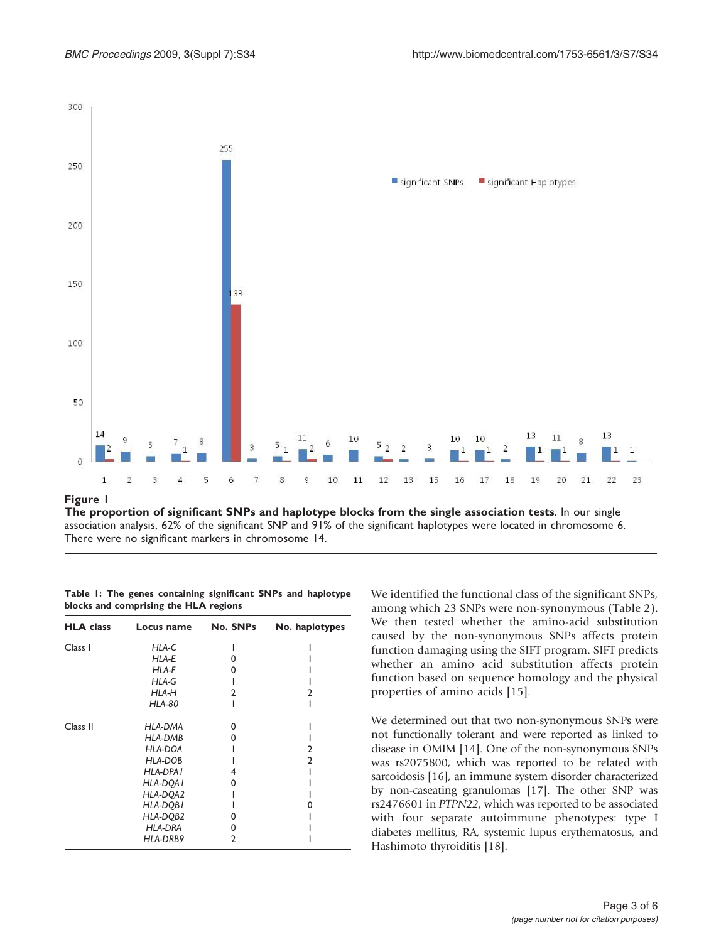<span id="page-2-0"></span>

The proportion of significant SNPs and haplotype blocks from the single association tests. In our single association analysis, 62% of the significant SNP and 91% of the significant haplotypes were located in chromosome 6. There were no significant markers in chromosome 14.

|  |  | Table 1: The genes containing significant SNPs and haplotype |  |  |
|--|--|--------------------------------------------------------------|--|--|
|  |  | blocks and comprising the HLA regions                        |  |  |

| <b>HLA</b> class | Locus name     | No. SNPs | No. haplotypes |
|------------------|----------------|----------|----------------|
| Class I          | HLA-C          |          |                |
|                  | HLA-E          |          |                |
|                  | HLA-F          |          |                |
|                  | HLA-G          |          |                |
|                  | HLA-H          | 7        |                |
|                  | <b>HLA-80</b>  |          |                |
| Class II         | HLA-DMA        | ŋ        |                |
|                  | <b>HLA-DMB</b> | O        |                |
|                  | HLA-DOA        |          | 7              |
|                  | HLA-DOB        |          | 2              |
|                  | HLA-DPA I      | 4        |                |
|                  | HLA-DQA I      | O        |                |
|                  | HLA-DQA2       |          |                |
|                  | HLA-DQBI       |          |                |
|                  | HLA-DQB2       |          |                |
|                  | <b>HLA-DRA</b> | O        |                |
|                  | HLA-DRB9       | 2        |                |

We identified the functional class of the significant SNPs, among which 23 SNPs were non-synonymous [\(Table 2\)](#page-3-0). We then tested whether the amino-acid substitution caused by the non-synonymous SNPs affects protein function damaging using the SIFT program. SIFT predicts whether an amino acid substitution affects protein function based on sequence homology and the physical properties of amino acids [\[15](#page-5-0)].

We determined out that two non-synonymous SNPs were not functionally tolerant and were reported as linked to disease in OMIM [\[14\]](#page-5-0). One of the non-synonymous SNPs was rs2075800, which was reported to be related with sarcoidosis [[16](#page-5-0)], an immune system disorder characterized by non-caseating granulomas [\[17\]](#page-5-0). The other SNP was rs2476601 in PTPN22, which was reported to be associated with four separate autoimmune phenotypes: type I diabetes mellitus, RA, systemic lupus erythematosus, and Hashimoto thyroiditis [\[18\]](#page-5-0).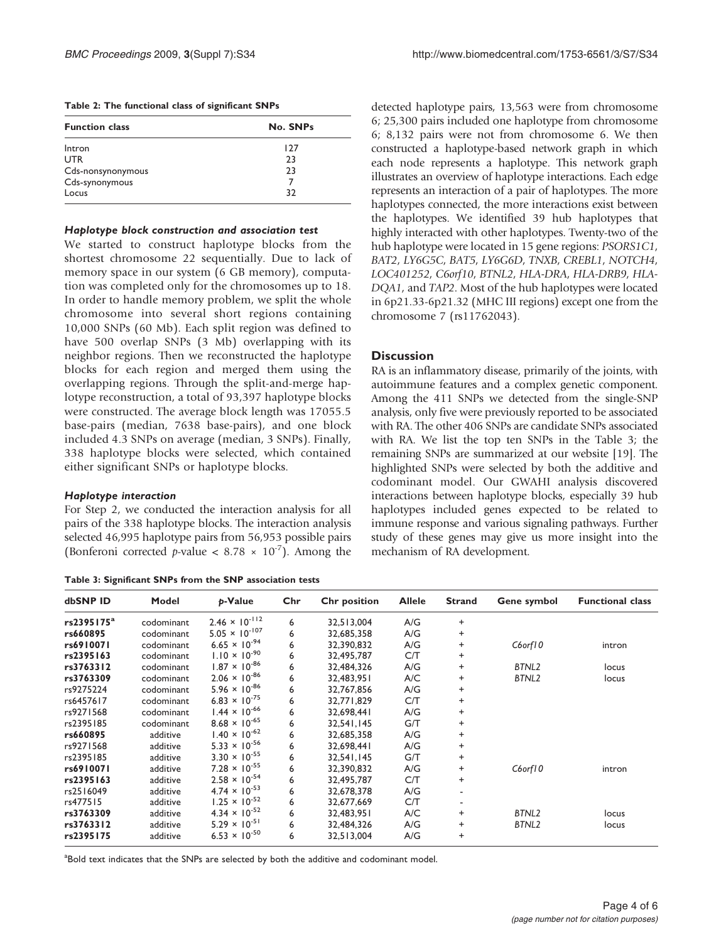<span id="page-3-0"></span>

|  |  |  |  |  | Table 2: The functional class of significant SNPs |  |
|--|--|--|--|--|---------------------------------------------------|--|
|--|--|--|--|--|---------------------------------------------------|--|

| <b>Function class</b> | No. SNPs |  |  |  |  |
|-----------------------|----------|--|--|--|--|
| Intron                | 127      |  |  |  |  |
| <b>UTR</b>            | 23       |  |  |  |  |
| Cds-nonsynonymous     | 23       |  |  |  |  |
| Cds-synonymous        |          |  |  |  |  |
| Locus                 | 32       |  |  |  |  |

#### Haplotype block construction and association test

We started to construct haplotype blocks from the shortest chromosome 22 sequentially. Due to lack of memory space in our system (6 GB memory), computation was completed only for the chromosomes up to 18. In order to handle memory problem, we split the whole chromosome into several short regions containing 10,000 SNPs (60 Mb). Each split region was defined to have 500 overlap SNPs (3 Mb) overlapping with its neighbor regions. Then we reconstructed the haplotype blocks for each region and merged them using the overlapping regions. Through the split-and-merge haplotype reconstruction, a total of 93,397 haplotype blocks were constructed. The average block length was 17055.5 base-pairs (median, 7638 base-pairs), and one block included 4.3 SNPs on average (median, 3 SNPs). Finally, 338 haplotype blocks were selected, which contained either significant SNPs or haplotype blocks.

#### Haplotype interaction

For Step 2, we conducted the interaction analysis for all pairs of the 338 haplotype blocks. The interaction analysis selected 46,995 haplotype pairs from 56,953 possible pairs (Bonferoni corrected p-value  $\lt$  8.78  $\times$  10<sup>-7</sup>). Among the

Table 3: Significant SNPs from the SNP association tests

detected haplotype pairs, 13,563 were from chromosome 6; 25,300 pairs included one haplotype from chromosome 6; 8,132 pairs were not from chromosome 6. We then constructed a haplotype-based network graph in which each node represents a haplotype. This network graph illustrates an overview of haplotype interactions. Each edge represents an interaction of a pair of haplotypes. The more haplotypes connected, the more interactions exist between the haplotypes. We identified 39 hub haplotypes that highly interacted with other haplotypes. Twenty-two of the hub haplotype were located in 15 gene regions: PSORS1C1, BAT2, LY6G5C, BAT5, LY6G6D, TNXB, CREBL1, NOTCH4, LOC401252, C6orf10, BTNL2, HLA-DRA, HLA-DRB9, HLA-DQA1, and TAP2. Most of the hub haplotypes were located in 6p21.33-6p21.32 (MHC III regions) except one from the chromosome 7 (rs11762043).

### **Discussion**

RA is an inflammatory disease, primarily of the joints, with autoimmune features and a complex genetic component. Among the 411 SNPs we detected from the single-SNP analysis, only five were previously reported to be associated with RA. The other 406 SNPs are candidate SNPs associated with RA. We list the top ten SNPs in the Table 3; the remaining SNPs are summarized at our website [\[19\]](#page-5-0). The highlighted SNPs were selected by both the additive and codominant model. Our GWAHI analysis discovered interactions between haplotype blocks, especially 39 hub haplotypes included genes expected to be related to immune response and various signaling pathways. Further study of these genes may give us more insight into the mechanism of RA development.

| dbSNP ID               | Model      | p-Value                         | Chr | <b>Chr</b> position | <b>Allele</b> | <b>Strand</b> | Gene symbol | <b>Functional class</b> |
|------------------------|------------|---------------------------------|-----|---------------------|---------------|---------------|-------------|-------------------------|
| rs2395175 <sup>a</sup> | codominant | $2.46 \times 10^{-112}$         | 6   | 32,513,004          | A/G           | +             |             |                         |
| rs660895               | codominant | $5.05 \times 10^{-107}$         | 6   | 32,685,358          | A/G           | +             |             |                         |
| rs6910071              | codominant | $6.65 \times 10^{-94}$          | 6   | 32,390,832          | A/G           | +             | C6orf10     | intron                  |
| rs2395163              | codominant | $1.10 \times 10^{-90}$          | 6   | 32,495,787          | C/T           | +             |             |                         |
| rs3763312              | codominant | $1.87 \times 10^{-86}$          | 6   | 32,484,326          | A/G           | $\ddot{}$     | BTNL2       | locus                   |
| rs3763309              | codominant | $2.06 \times 10^{-86}$          | 6   | 32.483.951          | A/C           | +             | BTNL2       | locus                   |
| rs9275224              | codominant | $5.96 \times 10^{-86}$          | 6   | 32.767.856          | A/G           | +             |             |                         |
| rs6457617              | codominant | 6.83 $\times$ 10 <sup>-75</sup> | 6   | 32,771,829          | C/T           | +             |             |                         |
| rs9271568              | codominant | $1.44 \times 10^{-66}$          | 6   | 32,698,441          | A/G           | +             |             |                         |
| rs2395185              | codominant | $8.68 \times 10^{-65}$          | 6   | 32,541,145          | G/T           | $\ddot{}$     |             |                         |
| rs660895               | additive   | $1.40 \times 10^{-62}$          | 6   | 32,685,358          | A/G           | +             |             |                         |
| rs9271568              | additive   | $5.33 \times 10^{-56}$          | 6   | 32,698,441          | A/G           | +             |             |                         |
| rs2395185              | additive   | $3.30 \times 10^{-55}$          | 6   | 32,541,145          | G/T           | $\ddot{}$     |             |                         |
| rs6910071              | additive   | $7.28 \times 10^{-55}$          | 6   | 32.390.832          | A/G           | $\ddot{}$     | C6orf10     | intron                  |
| rs2395163              | additive   | $2.58 \times 10^{-54}$          | 6   | 32.495.787          | C/T           | +             |             |                         |
| rs2516049              | additive   | $4.74 \times 10^{-53}$          | 6   | 32,678,378          | A/G           |               |             |                         |
| rs477515               | additive   | $1.25 \times 10^{-52}$          | 6   | 32,677,669          | C/T           | ٠             |             |                         |
| rs3763309              | additive   | $4.34 \times 10^{-52}$          | 6   | 32,483,951          | A/C           | +             | BTNL2       | locus                   |
| rs3763312              | additive   | $5.29 \times 10^{-51}$          | 6   | 32,484,326          | A/G           | +             | BTNL2       | locus                   |
| rs2395175              | additive   | $6.53 \times 10^{-50}$          | 6   | 32,513,004          | A/G           | +             |             |                         |

<sup>a</sup>Bold text indicates that the SNPs are selected by both the additive and codominant model.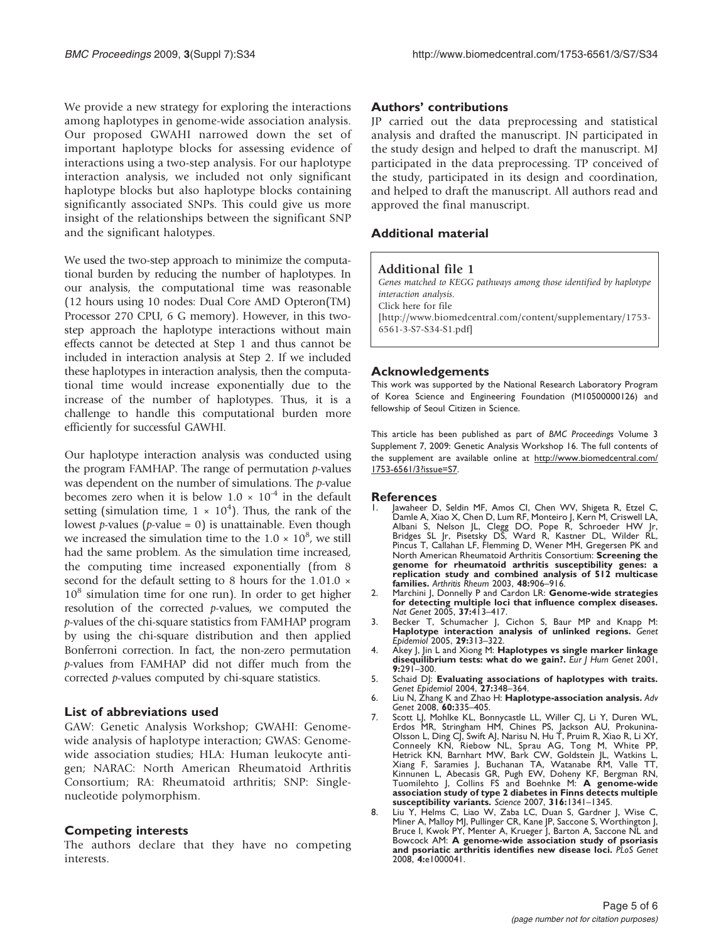<span id="page-4-0"></span>We provide a new strategy for exploring the interactions among haplotypes in genome-wide association analysis. Our proposed GWAHI narrowed down the set of important haplotype blocks for assessing evidence of interactions using a two-step analysis. For our haplotype interaction analysis, we included not only significant haplotype blocks but also haplotype blocks containing significantly associated SNPs. This could give us more insight of the relationships between the significant SNP and the significant halotypes.

We used the two-step approach to minimize the computational burden by reducing the number of haplotypes. In our analysis, the computational time was reasonable (12 hours using 10 nodes: Dual Core AMD Opteron(TM) Processor 270 CPU, 6 G memory). However, in this twostep approach the haplotype interactions without main effects cannot be detected at Step 1 and thus cannot be included in interaction analysis at Step 2. If we included these haplotypes in interaction analysis, then the computational time would increase exponentially due to the increase of the number of haplotypes. Thus, it is a challenge to handle this computational burden more efficiently for successful GAWHI.

Our haplotype interaction analysis was conducted using the program FAMHAP. The range of permutation  $p$ -values was dependent on the number of simulations. The *p*-value becomes zero when it is below  $1.0 \times 10^{-4}$  in the default setting (simulation time,  $1 \times 10^4$ ). Thus, the rank of the lowest *p*-values (*p*-value = 0) is unattainable. Even though we increased the simulation time to the  $1.0 \times 10^8$ , we still had the same problem. As the simulation time increased, the computing time increased exponentially (from 8 second for the default setting to 8 hours for the 1.01.0  $\times$  $10^8$  simulation time for one run). In order to get higher resolution of the corrected p-values, we computed the p-values of the chi-square statistics from FAMHAP program by using the chi-square distribution and then applied Bonferroni correction. In fact, the non-zero permutation p-values from FAMHAP did not differ much from the corrected p-values computed by chi-square statistics.

### List of abbreviations used

GAW: Genetic Analysis Workshop; GWAHI: Genomewide analysis of haplotype interaction; GWAS: Genomewide association studies; HLA: Human leukocyte antigen; NARAC: North American Rheumatoid Arthritis Consortium; RA: Rheumatoid arthritis; SNP: Singlenucleotide polymorphism.

# Competing interests

The authors declare that they have no competing interests.

### Authors' contributions

JP carried out the data preprocessing and statistical analysis and drafted the manuscript. JN participated in the study design and helped to draft the manuscript. MJ participated in the data preprocessing. TP conceived of the study, participated in its design and coordination, and helped to draft the manuscript. All authors read and approved the final manuscript.

### Additional material

### Additional file 1

Genes matched to KEGG pathways among those identified by haplotype interaction analysis. Click here for file [http://www.biomedcentral.com/content/supplementary/1753- 6561-3-S7-S34-S1.pdf]

### Acknowledgements

This work was supported by the National Research Laboratory Program of Korea Science and Engineering Foundation (M10500000126) and fellowship of Seoul Citizen in Science.

This article has been published as part of BMC Proceedings Volume 3 Supplement 7, 2009: Genetic Analysis Workshop 16. The full contents of the supplement are available online at [http://www.biomedcentral.com/](http://www.biomedcentral.com/1753-6561/3?issue=S7) [1753-6561/3?issue=S7](http://www.biomedcentral.com/1753-6561/3?issue=S7).

### References

- 1. Jawaheer D, Seldin MF, Amos CI, Chen WV, Shigeta R, Etzel C, Damle A, Xiao X, Chen D, Lum RF, Monteiro J, Kern M, Criswell LA, Albani S, Nelson JL, Clegg DO, Pope R, Schroeder HW Jr, Bridges SL Jr, Pisetsky DS, Ward R, Kastner DL, Wilder RL, Pincus T, Callahan LF, Flemming D, Wener MH, Gregersen PK and North American Rheumatoid Arthritis Consortium: [Screening the](http://www.ncbi.nlm.nih.gov/pubmed/12687532?dopt=Abstract) [genome for rheumatoid arthritis susceptibility genes: a](http://www.ncbi.nlm.nih.gov/pubmed/12687532?dopt=Abstract) [replication study and combined analysis of 512 multicase](http://www.ncbi.nlm.nih.gov/pubmed/12687532?dopt=Abstract) [families.](http://www.ncbi.nlm.nih.gov/pubmed/12687532?dopt=Abstract) Arthritis Rheum 2003, 48:906-916.
- 2. Marchini J, Donnelly P and Cardon LR: [Genome-wide strategies](http://www.ncbi.nlm.nih.gov/pubmed/15793588?dopt=Abstract) [for detecting multiple loci that influence complex diseases.](http://www.ncbi.nlm.nih.gov/pubmed/15793588?dopt=Abstract) Nat Genet 2005, 37:413–417.
- 3. Becker T, Schumacher J, Cichon S, Baur MP and Knapp M: [Haplotype interaction analysis of unlinked regions.](http://www.ncbi.nlm.nih.gov/pubmed/16240441?dopt=Abstract) Genet Epidemiol 2005, 29:313–322.
- 4. Akey J, Jin L and Xiong M: [Haplotypes vs single marker linkage](http://www.ncbi.nlm.nih.gov/pubmed/11313774?dopt=Abstract) [disequilibrium tests: what do we gain?.](http://www.ncbi.nlm.nih.gov/pubmed/11313774?dopt=Abstract) Eur J Hum Genet 2001,  $9:291 - 300$ .
- 5. Schaid DJ: [Evaluating associations of haplotypes with traits.](http://www.ncbi.nlm.nih.gov/pubmed/15543638?dopt=Abstract) Genet Epidemiol 2004, 27:348–364.
- 6. Liu N, Zhang K and Zhao H: [Haplotype-association analysis.](http://www.ncbi.nlm.nih.gov/pubmed/18358327?dopt=Abstract) Adv Genet 2008, 60:335–405.
- 7. Scott LJ, Mohlke KL, Bonnycastle LL, Willer CJ, Li Y, Duren WL, Erdos MR, Stringham HM, Chines PS, Jackson AU, Prokunina-Olsson L, Ding CJ, Swift AJ, Narisu N, Hu T, Pruim R, Xiao R, Li XY<br>Conneely KN, Riebow NL, Sprau AG, Tong M, White PP,<br>Hetrick KN, Barnhart MW, Bark CW, Goldstein JL, Watkins L<br>Xiang F, Saramies J, Buchanan TA, Watanabe R Tuomilehto J, Collins FS and Boehnke M: [A genome-wide](http://www.ncbi.nlm.nih.gov/pubmed/17463248?dopt=Abstract) [association study of type 2 diabetes in Finns detects multiple](http://www.ncbi.nlm.nih.gov/pubmed/17463248?dopt=Abstract) [susceptibility variants.](http://www.ncbi.nlm.nih.gov/pubmed/17463248?dopt=Abstract) Science 2007, 316:1341–1345.
- 8. Liu Y, Helms C, Liao W, Zaba LC, Duan S, Gardner J, Wise C, Miner A, Malloy MJ, Pullinger CR, Kane JP, Saccone S, Worthington J, Bruce I, Kwok PY, Menter A, Krueger J, Barton A, Saccone NL and Bowcock AM: [A genome-wide association study of psoriasis](http://www.ncbi.nlm.nih.gov/pubmed/18369459?dopt=Abstract) [and psoriatic arthritis identifies new disease loci.](http://www.ncbi.nlm.nih.gov/pubmed/18369459?dopt=Abstract) PLoS Genet 2008, 4:e1000041.